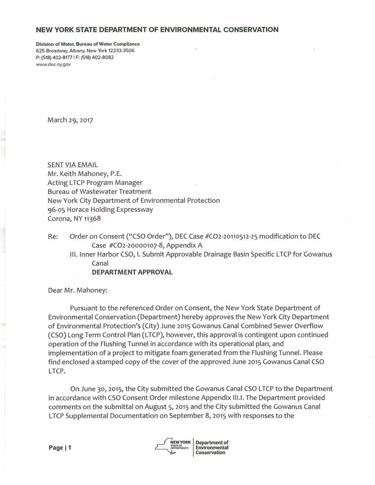## **NEW YORK STATE DEPARTMENT OF ENVIRONMENTAL CONSERVATION**

Division of Water, Bureau of Water Compliance 625 Broadway, Albany, New York 12233-3506 P: (518) 402-8177 I F: (518) 402-8082 www.dec.ny.gov

March 29, 2017

SENT VIA EMAIL Mr. Keith Mahoney, P.E. Acting LTCP Program Manager Bureau of Wastewater Treatment New York City Department of Environmental Protection 96-05 Horace Holding Expressway Corona, NY 11368

Re: Order on Consent ("CSO Order"), DEC Case #C02-20110512-25 modification to DEC Case #C02-20000107-8, Appendix A

III. Inner Harbor CSO, I. Submit Approvable Drainage Basin Specific LTCP for Gowanus Canal

**DEPARTMENT APPROVAL** 

Dear Mr. Mahoney:

Pursuant to the referenced Order on Consent, the New York State Department of Environmental Conservation (Department) hereby approves the New York City Department of Environmental Protection's (City) June 2015 Gowanus Canal Combined Sewer Overflow (CSO) Long Term Control Plan (LTCP), however, this approval is contingent upon continued operation of the Flushing Tunnel in accordance with its operational plan, and implementation of a project to mitigate foam generated from the Flushing Tunnel. Please find enclosed a stamped copy of the cover of the approved June 2015 Gowanus Canal CSO LTCP.

On June 30, 2015, the City submitted the Gowanus Canal CSO LTCP to the Department in accordance with CSO Consent Order milestone Appendix III.I. The Department provided comments on the submittal on August 5, 2015 and the City submitted the Gowanus Canal LTCP Supplemental Documentation on September 8, 2015 with responses to the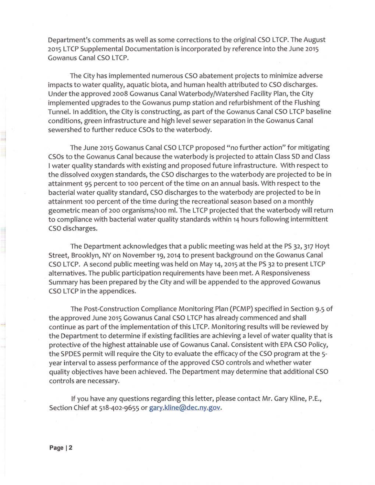Department's comments as well as some corrections to the original CSO LTCP. The August 2015 LTCP Supplemental Documentation is incorporated by reference into the June 2015 Gowanus Canal CSO LTCP.

The City has implemented numerous CSO abatement projects to minimize adverse impacts to water quality, aquatic biota, and human health attributed to CSO discharges. Under the approved 2008 Gowanus Canal Waterbody/Watershed Facility Plan, the City implemented upgrades to the Gowanus pump station and refurbishment of the Flushing Tunnel. In addition, the City is constructing, as part of the Gowanus Canal CSO LTCP baseline conditions, green infrastructure and high level sewer separation in the Gowanus Canal sewershed to further reduce CSOs to the waterbody.

The June 2015 Gowanus Canal CSO LTCP proposed "no further action" for mitigating CSOs to the Gowanus Canal because the waterbody is projected to attain Class SD and Class I water quality standards with existing and proposed future infrastructure. With respect to the dissolved oxygen standards, the CSO discharges to the waterbody are projected to be in attainment 95 percent to 100 percent of the time on an annual basis. With respect to the bacterial water quality standard, CSO discharges to the waterbody are projected to be in attainment 100 percent of the time during the recreational season based on a monthly geometric mean of 200 organisms/100 ml. The LTCP projected that the waterbody will return to compliance with bacterial water quality standards within 14 hours following intermittent CSO discharges.

The Department acknowledges that a public meeting was held at the PS 32, 317 Hoyt Street, Brooklyn, NY on November 19, 2014 to present background on the Gowanus Canal CSO LTCP. A second public meeting was held on May 14, 2015 at the PS 32 to present LTCP alternatives. The public participation requirements have been met. A Responsiveness Summary has been prepared by the City and will be appended to the approved Gowanus CSO LTCP in the appendices.

The Post-Construction Compliance Monitoring Plan (PCMP) specified in Section 9.5 of the approved June 2015 Gowanus Canal CSO LTCP has already commenced and shall continue as part of the implementation of this LTCP. Monitoring results will be reviewed by the Department to determine if existing facilities are achieving a level of water quality that is protective of the highest attainable use of Gowanus Canal. Consistent with EPA CSO Policy, the SPDES permit will require the City to evaluate the efficacy of the CSO program at the 5 year interval to assess performance of the approved CSO controls and whether water quality objectives have been achieved. The Department may determine that additional CSO controls are necessary.

If you have any questions regarding this letter, please contact Mr. Gary Kline, P.E., Section Chief at 518-402-9655 or gary.kline@dec.ny.gov.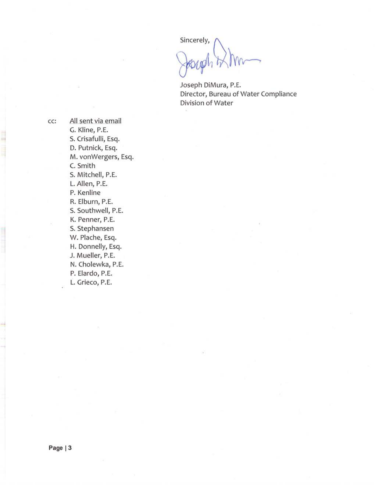Sincerely,

Joseph DiMura, P.E. Director, Bureau of Water Compliance Division of Water

cc: All sent via email G. Kline, P.E. S. Crisafulli, Esq. D. Putnick, Esq. M. vonWergers, Esq. C. Smith S. Mitchell, P.E. L. Allen, P.E. P. Kenline R. Elburn, P.E. S. Southwell, P.E. K. Penner, P.E. S. Stephansen W. Plache, Esq. H. Donnelly, Esq. J. Mueller, P.E. N. Cholewka, P.E. P. Elardo, P.E. L. Grieco, P.E.